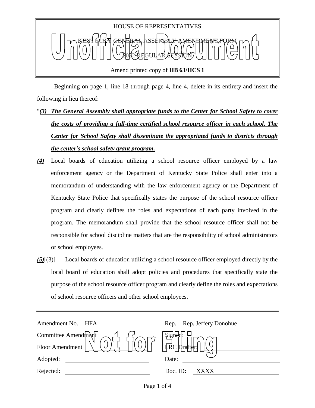

 Beginning on page 1, line 18 through page 4, line 4, delete in its entirety and insert the following in lieu thereof:

- "*(3) The General Assembly shall appropriate funds to the Center for School Safety to cover the costs of providing a full-time certified school resource officer in each school. The Center for School Safety shall disseminate the appropriated funds to districts through the center's school safety grant program.*
- *(4)* Local boards of education utilizing a school resource officer employed by a law enforcement agency or the Department of Kentucky State Police shall enter into a memorandum of understanding with the law enforcement agency or the Department of Kentucky State Police that specifically states the purpose of the school resource officer program and clearly defines the roles and expectations of each party involved in the program. The memorandum shall provide that the school resource officer shall not be responsible for school discipline matters that are the responsibility of school administrators or school employees.
- *(5)*[(3)] Local boards of education utilizing a school resource officer employed directly by the local board of education shall adopt policies and procedures that specifically state the purpose of the school resource officer program and clearly define the roles and expectations of school resource officers and other school employees.

| Amendment No.<br>HFA | Rep. Rep. Jeffery Donohue        |
|----------------------|----------------------------------|
| Committee Amendment  | <b>Preud</b>                     |
| Floor Amendment      | $\frac{1}{4}$<br><b>D</b> rafter |
| Adopted:             | Date:                            |
| Rejected:            | Doc. ID:<br>XXXX                 |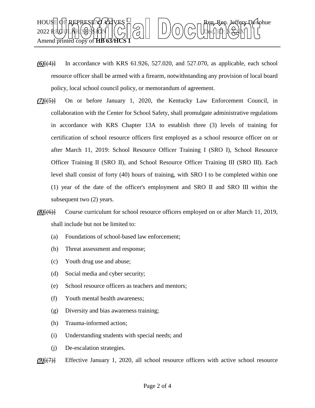

- $(6)$ <sup>[(4)</sup>] In accordance with KRS 61.926, 527.020, and 527.070, as applicable, each school resource officer shall be armed with a firearm, notwithstanding any provision of local board policy, local school council policy, or memorandum of agreement.
- *(7)*[(5)] On or before January 1, 2020, the Kentucky Law Enforcement Council, in collaboration with the Center for School Safety, shall promulgate administrative regulations in accordance with KRS Chapter 13A to establish three (3) levels of training for certification of school resource officers first employed as a school resource officer on or after March 11, 2019: School Resource Officer Training I (SRO I), School Resource Officer Training II (SRO II), and School Resource Officer Training III (SRO III). Each level shall consist of forty (40) hours of training, with SRO I to be completed within one (1) year of the date of the officer's employment and SRO II and SRO III within the subsequent two (2) years.
- *(8)*[(6)] Course curriculum for school resource officers employed on or after March 11, 2019, shall include but not be limited to:
	- (a) Foundations of school-based law enforcement;
	- (b) Threat assessment and response;
	- (c) Youth drug use and abuse;
	- (d) Social media and cyber security;
	- (e) School resource officers as teachers and mentors;
	- (f) Youth mental health awareness;
	- (g) Diversity and bias awareness training;
	- (h) Trauma-informed action;
	- (i) Understanding students with special needs; and
	- (j) De-escalation strategies.
- *(9)*[(7)] Effective January 1, 2020, all school resource officers with active school resource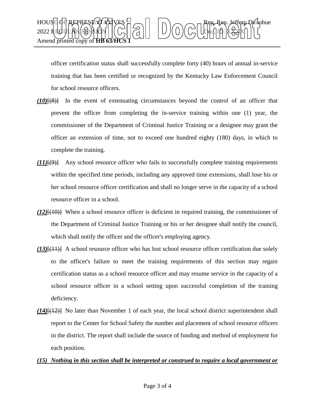

officer certification status shall successfully complete forty (40) hours of annual in-service training that has been certified or recognized by the Kentucky Law Enforcement Council for school resource officers.

- *(10)*[(8)] In the event of extenuating circumstances beyond the control of an officer that prevent the officer from completing the in-service training within one (1) year, the commissioner of the Department of Criminal Justice Training or a designee may grant the officer an extension of time, not to exceed one hundred eighty (180) days, in which to complete the training.
- *(11)*[(9)] Any school resource officer who fails to successfully complete training requirements within the specified time periods, including any approved time extensions, shall lose his or her school resource officer certification and shall no longer serve in the capacity of a school resource officer in a school.
- *(12)*[(10)] When a school resource officer is deficient in required training, the commissioner of the Department of Criminal Justice Training or his or her designee shall notify the council, which shall notify the officer and the officer's employing agency.
- *(13)*[(11)] A school resource officer who has lost school resource officer certification due solely to the officer's failure to meet the training requirements of this section may regain certification status as a school resource officer and may resume service in the capacity of a school resource officer in a school setting upon successful completion of the training deficiency.
- *(14)*[(12)] No later than November 1 of each year, the local school district superintendent shall report to the Center for School Safety the number and placement of school resource officers in the district. The report shall include the source of funding and method of employment for each position.
- *(15) Nothing in this section shall be interpreted or construed to require a local government or*